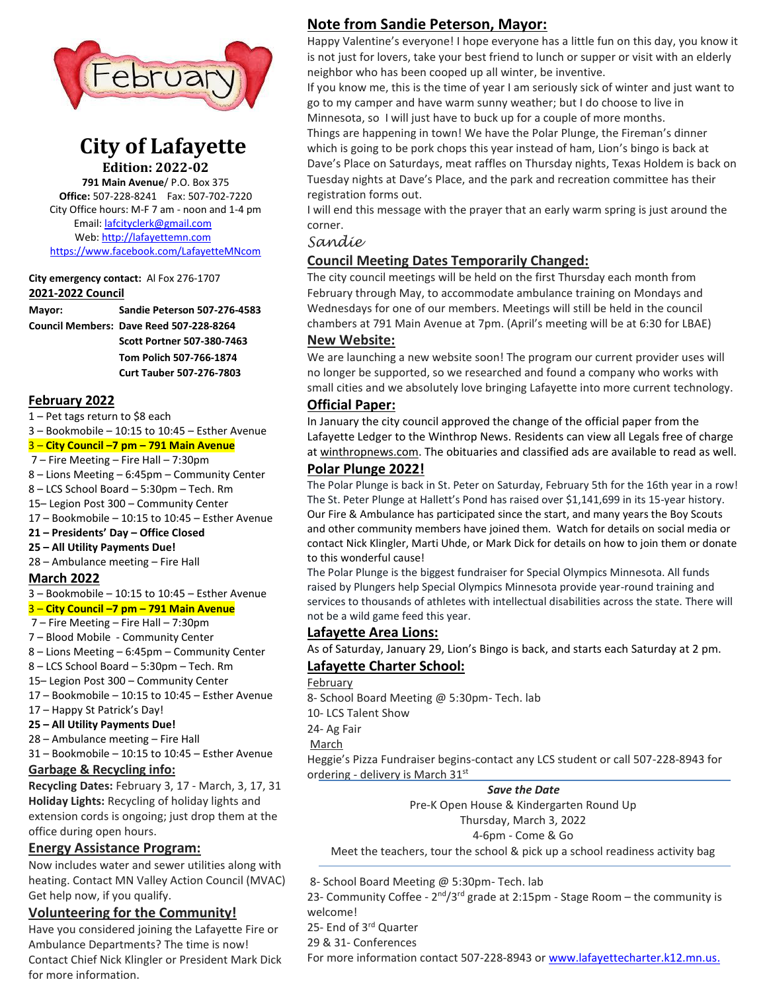

# **City of Lafayette Edition: 2022-02**

**791 Main Avenue**/ P.O. Box 375 **Office:** 507-228-8241 Fax: 507-702-7220 City Office hours: M-F 7 am - noon and 1-4 pm Email[: lafcityclerk@gmail.com](mailto:lafcityclerk@gmail.com) Web[: http://lafayettemn.com](http://lafayettemn.com/) <https://www.facebook.com/LafayetteMNcom>

**City emergency contact:** Al Fox 276-1707 **2021-2022 Council**

**Mayor: Sandie Peterson 507-276-4583**

**Council Members: Dave Reed 507-228-8264 Scott Portner 507-380-7463 Tom Polich 507-766-1874 Curt Tauber 507-276-7803**

#### **February 2022**

- 1 Pet tags return to \$8 each
- 3 Bookmobile 10:15 to 10:45 Esther Avenue
- 3 **City Council –7 pm – 791 Main Avenue**
- 7 Fire Meeting Fire Hall 7:30pm
- 8 Lions Meeting 6:45pm Community Center
- 8 LCS School Board 5:30pm Tech. Rm
- 15– Legion Post 300 Community Center
- 17 Bookmobile 10:15 to 10:45 Esther Avenue **21 – Presidents' Day – Office Closed**

# **25 – All Utility Payments Due!**

28 – Ambulance meeting – Fire Hall

#### **March 2022**

3 – Bookmobile – 10:15 to 10:45 – Esther Avenue

#### 3 – **City Council –7 pm – 791 Main Avenue**

- 7 Fire Meeting Fire Hall 7:30pm
- 7 Blood Mobile Community Center
- 8 Lions Meeting 6:45pm Community Center
- 8 LCS School Board 5:30pm Tech. Rm
- 15– Legion Post 300 Community Center
- 17 Bookmobile 10:15 to 10:45 Esther Avenue
- 17 Happy St Patrick's Day!
- **25 – All Utility Payments Due!**
- 28 Ambulance meeting Fire Hall
- 31 Bookmobile 10:15 to 10:45 Esther Avenue

#### **Garbage & Recycling info:**

**Recycling Dates:** February 3, 17 - March, 3, 17, 31 **Holiday Lights:** Recycling of holiday lights and extension cords is ongoing; just drop them at the office during open hours.

#### **Energy Assistance Program:**

Now includes water and sewer utilities along with heating. Contact MN Valley Action Council (MVAC) Get help now, if you qualify.

### **Volunteering for the Community!**

Have you considered joining the Lafayette Fire or Ambulance Departments? The time is now! Contact Chief Nick Klingler or President Mark Dick for more information.

## **Note from Sandie Peterson, Mayor:**

Happy Valentine's everyone! I hope everyone has a little fun on this day, you know it is not just for lovers, take your best friend to lunch or supper or visit with an elderly neighbor who has been cooped up all winter, be inventive.

If you know me, this is the time of year I am seriously sick of winter and just want to go to my camper and have warm sunny weather; but I do choose to live in Minnesota, so I will just have to buck up for a couple of more months.

Things are happening in town! We have the Polar Plunge, the Fireman's dinner which is going to be pork chops this year instead of ham, Lion's bingo is back at Dave's Place on Saturdays, meat raffles on Thursday nights, Texas Holdem is back on Tuesday nights at Dave's Place, and the park and recreation committee has their registration forms out.

I will end this message with the prayer that an early warm spring is just around the corner.

*Sandie*

### **Council Meeting Dates Temporarily Changed:**

The city council meetings will be held on the first Thursday each month from February through May, to accommodate ambulance training on Mondays and Wednesdays for one of our members. Meetings will still be held in the council chambers at 791 Main Avenue at 7pm. (April's meeting will be at 6:30 for LBAE)

### **New Website:**

We are launching a new website soon! The program our current provider uses will no longer be supported, so we researched and found a company who works with small cities and we absolutely love bringing Lafayette into more current technology.

### **Official Paper:**

In January the city council approved the change of the official paper from the Lafayette Ledger to the Winthrop News. Residents can view all Legals free of charge at winthropnews.com. The obituaries and classified ads are available to read as well.

#### **Polar Plunge 2022!**

The Polar Plunge is back in St. Peter on Saturday, February 5th for the 16th year in a row! The St. Peter Plunge at Hallett's Pond has raised over \$1,141,699 in its 15-year history. Our Fire & Ambulance has participated since the start, and many years the Boy Scouts and other community members have joined them. Watch for details on social media or contact Nick Klingler, Marti Uhde, or Mark Dick for details on how to join them or donate to this wonderful cause!

The Polar Plunge is the biggest fundraiser for Special Olympics Minnesota. All funds raised by Plungers help Special Olympics Minnesota provide year-round training and services to thousands of athletes with intellectual disabilities across the state. There will not be a wild game feed this year.

#### **Lafayette Area Lions:**

As of Saturday, January 29, Lion's Bingo is back, and starts each Saturday at 2 pm. **Lafayette Charter School:** 

#### **February**

8- School Board Meeting @ 5:30pm- Tech. lab 10- LCS Talent Show 24- Ag Fair March Heggie's Pizza Fundraiser begins-contact any LCS student or call 507-228-8943 for ordering - delivery is March 31st

#### *Save the Date*

Pre-K Open House & Kindergarten Round Up Thursday, March 3, 2022 4-6pm - Come & Go

Meet the teachers, tour the school & pick up a school readiness activity bag

8- School Board Meeting @ 5:30pm- Tech. lab

23- Community Coffee - 2<sup>nd</sup>/3<sup>rd</sup> grade at 2:15pm - Stage Room – the community is welcome!

25- End of 3rd Quarter

29 & 31- Conferences

For more information contact 507-228-8943 or [www.lafayettecharter.k12.mn.us.](http://www.lafayettecharter.k12.mn.us/)